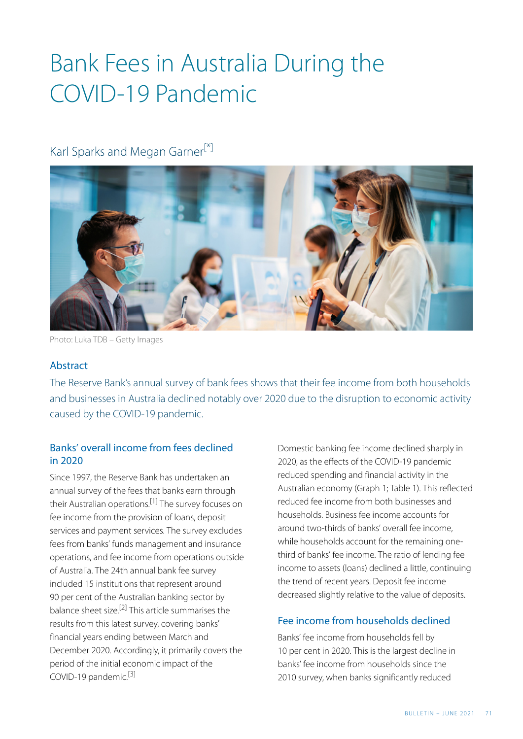## Bank Fees in Australia During the COVID-19 Pandemic

### <span id="page-0-0"></span>Karl Sparks and Megan Garner<sup>[\[\\*\]](#page-5-0)</sup>



Photo: Luka TDB – Getty Images

### Abstract

The Reserve Bank's annual survey of bank fees shows that their fee income from both households and businesses in Australia declined notably over 2020 due to the disruption to economic activity caused by the COVID-19 pandemic.

### Banks' overall income from fees declined in 2020

<span id="page-0-3"></span><span id="page-0-2"></span><span id="page-0-1"></span>Since 1997, the Reserve Bank has undertaken an annual survey of the fees that banks earn through their Australian operations.<sup>[\[1\]](#page-5-1)</sup> The survey focuses on fee income from the provision of loans, deposit services and payment services. The survey excludes fees from banks' funds management and insurance operations, and fee income from operations outside of Australia. The 24th annual bank fee survey included 15 institutions that represent around 90 per cent of the Australian banking sector by balance sheet size.<sup>[\[2\]](#page-5-2)</sup> This article summarises the results from this latest survey, covering banks' financial years ending between March and December 2020. Accordingly, it primarily covers the period of the initial economic impact of the COVID-19 pandemic.<sup>[3]</sup>

Domestic banking fee income declined sharply in 2020, as the effects of the COVID-19 pandemic reduced spending and financial activity in the Australian economy (Graph 1; Table 1). This reflected reduced fee income from both businesses and households. Business fee income accounts for around two-thirds of banks' overall fee income, while households account for the remaining onethird of banks' fee income. The ratio of lending fee income to assets (loans) declined a little, continuing the trend of recent years. Deposit fee income decreased slightly relative to the value of deposits.

### Fee income from households declined

Banks' fee income from households fell by 10 per cent in 2020. This is the largest decline in banks' fee income from households since the 2010 survey, when banks significantly reduced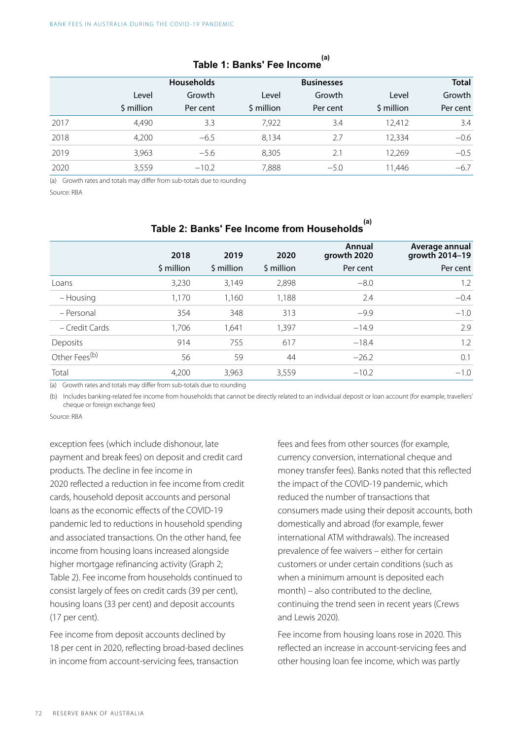|      |            | <b>Households</b> |            | <b>Businesses</b> |            | <b>Total</b> |
|------|------------|-------------------|------------|-------------------|------------|--------------|
|      | Level      | Growth            | Level      | Growth            | Level      | Growth       |
|      | \$ million | Per cent          | \$ million | Per cent          | \$ million | Per cent     |
| 2017 | 4,490      | 3.3               | 7,922      | 3.4               | 12.412     | 3.4          |
| 2018 | 4,200      | $-6.5$            | 8,134      | 2.7               | 12,334     | $-0.6$       |
| 2019 | 3,963      | $-5.6$            | 8,305      | 2.1               | 12,269     | $-0.5$       |
| 2020 | 3,559      | $-10.2$           | 7,888      | $-5.0$            | 11,446     | $-6.7$       |

## **Table 1: Banks' Fee Income (a)**

(a) Growth rates and totals may differ from sub-totals due to rounding

Source: RBA

|                           | 2018       | 2019       | 2020       | Annual<br>growth 2020 | Average annual<br>growth 2014-19 |  |  |
|---------------------------|------------|------------|------------|-----------------------|----------------------------------|--|--|
|                           | \$ million | \$ million | \$ million | Per cent              | Per cent                         |  |  |
| Loans                     | 3,230      | 3,149      | 2,898      | $-8.0$                | 1.2                              |  |  |
| – Housing                 | 1,170      | 1,160      | 1,188      | 2.4                   | $-0.4$                           |  |  |
| - Personal                | 354        | 348        | 313        | $-9.9$                | $-1.0$                           |  |  |
| - Credit Cards            | 1,706      | 1,641      | 1,397      | $-14.9$               | 2.9                              |  |  |
| Deposits                  | 914        | 755        | 617        | $-18.4$               | 1.2                              |  |  |
| Other Fees <sup>(b)</sup> | 56         | 59         | 44         | $-26.2$               | 0.1                              |  |  |
| Total                     | 4,200      | 3,963      | 3,559      | $-10.2$               | $-1.0$                           |  |  |

## **Table 2: Banks' Fee Income from Households (a)**

(a) Growth rates and totals may differ from sub-totals due to rounding

(b) Includes banking-related fee income from households that cannot be directly related to an individual deposit or loan account (for example, travellers' cheque or foreign exchange fees)

Source: RBA

exception fees (which include dishonour, late payment and break fees) on deposit and credit card products. The decline in fee income in 2020 reflected a reduction in fee income from credit cards, household deposit accounts and personal loans as the economic effects of the COVID-19 pandemic led to reductions in household spending and associated transactions. On the other hand, fee income from housing loans increased alongside higher mortgage refinancing activity (Graph 2; Table 2). Fee income from households continued to consist largely of fees on credit cards (39 per cent), housing loans (33 per cent) and deposit accounts (17 per cent).

Fee income from deposit accounts declined by 18 per cent in 2020, reflecting broad-based declines in income from account-servicing fees, transaction

fees and fees from other sources (for example, currency conversion, international cheque and money transfer fees). Banks noted that this reflected the impact of the COVID-19 pandemic, which reduced the number of transactions that consumers made using their deposit accounts, both domestically and abroad (for example, fewer international ATM withdrawals). The increased prevalence of fee waivers – either for certain customers or under certain conditions (such as when a minimum amount is deposited each month) – also contributed to the decline, continuing the trend seen in recent years (Crews and Lewis 2020).

Fee income from housing loans rose in 2020. This reflected an increase in account-servicing fees and other housing loan fee income, which was partly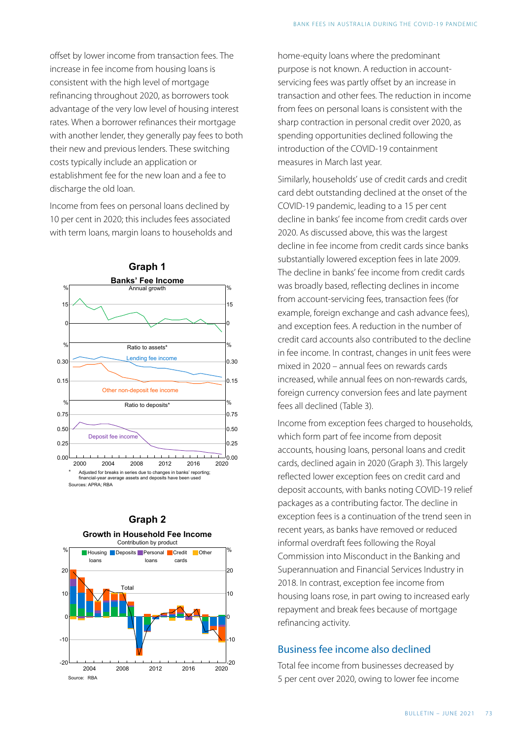offset by lower income from transaction fees. The increase in fee income from housing loans is consistent with the high level of mortgage refinancing throughout 2020, as borrowers took advantage of the very low level of housing interest rates. When a borrower refinances their mortgage with another lender, they generally pay fees to both their new and previous lenders. These switching costs typically include an application or establishment fee for the new loan and a fee to discharge the old loan.

Income from fees on personal loans declined by 10 per cent in 2020; this includes fees associated with term loans, margin loans to households and





# **Graph 2**

home-equity loans where the predominant purpose is not known. A reduction in accountservicing fees was partly offset by an increase in transaction and other fees. The reduction in income from fees on personal loans is consistent with the sharp contraction in personal credit over 2020, as spending opportunities declined following the introduction of the COVID-19 containment measures in March last year.

Similarly, households' use of credit cards and credit card debt outstanding declined at the onset of the COVID-19 pandemic, leading to a 15 per cent decline in banks' fee income from credit cards over 2020. As discussed above, this was the largest decline in fee income from credit cards since banks substantially lowered exception fees in late 2009. The decline in banks' fee income from credit cards was broadly based, reflecting declines in income from account-servicing fees, transaction fees (for example, foreign exchange and cash advance fees), and exception fees. A reduction in the number of credit card accounts also contributed to the decline in fee income. In contrast, changes in unit fees were mixed in 2020 – annual fees on rewards cards increased, while annual fees on non-rewards cards, foreign currency conversion fees and late payment fees all declined (Table 3).

Income from exception fees charged to households, which form part of fee income from deposit accounts, housing loans, personal loans and credit cards, declined again in 2020 (Graph 3). This largely reflected lower exception fees on credit card and deposit accounts, with banks noting COVID-19 relief packages as a contributing factor. The decline in exception fees is a continuation of the trend seen in recent years, as banks have removed or reduced informal overdraft fees following the Royal Commission into Misconduct in the Banking and Superannuation and Financial Services Industry in 2018. In contrast, exception fee income from housing loans rose, in part owing to increased early repayment and break fees because of mortgage refinancing activity.

### Business fee income also declined

Total fee income from businesses decreased by 5 per cent over 2020, owing to lower fee income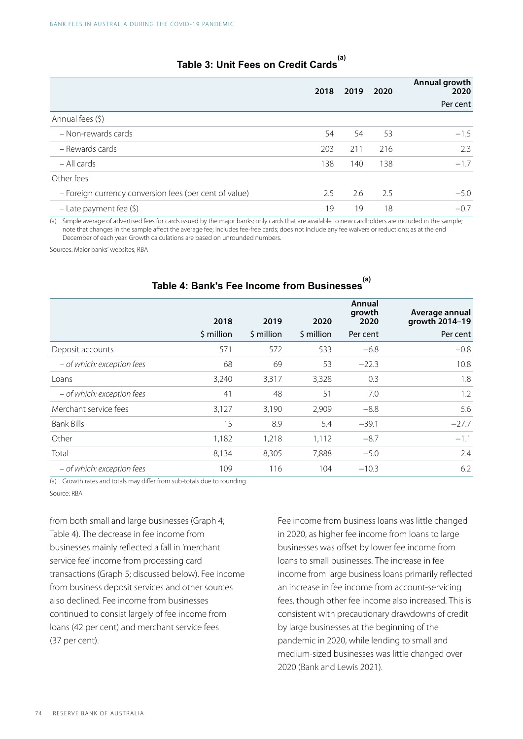|  |  | <sup>(a)</sup> Table 3: Unit Fees on Credit Cards |  |
|--|--|---------------------------------------------------|--|

|                                                        |     | 2018 2019 | 2020 | Annual growth<br>2020 |
|--------------------------------------------------------|-----|-----------|------|-----------------------|
|                                                        |     |           |      | Per cent              |
| Annual fees (\$)                                       |     |           |      |                       |
| - Non-rewards cards                                    | 54  | 54        | 53   | $-1.5$                |
| - Rewards cards                                        | 203 | 211       | 216  | 2.3                   |
| $-$ All cards                                          | 138 | 140       | 138  | $-1.7$                |
| Other fees                                             |     |           |      |                       |
| - Foreign currency conversion fees (per cent of value) | 2.5 | 2.6       | 2.5  | $-5.0$                |
| - Late payment fee $(\xi)$                             | 19  | 19        | 18   | $-0.7$                |

(a) Simple average of advertised fees for cards issued by the major banks; only cards that are available to new cardholders are included in the sample; note that changes in the sample affect the average fee; includes fee-free cards; does not include any fee waivers or reductions; as at the end December of each year. Growth calculations are based on unrounded numbers.

Sources: Major banks' websites; RBA

|                            | 2018       | 2019       | 2020       | Annual<br>growth<br>2020 | Average annual<br>growth 2014-19 |
|----------------------------|------------|------------|------------|--------------------------|----------------------------------|
|                            | \$ million | \$ million | \$ million | Per cent                 | Per cent                         |
| Deposit accounts           | 571        | 572        | 533        | $-6.8$                   | $-0.8$                           |
| - of which: exception fees | 68         | 69         | 53         | $-22.3$                  | 10.8                             |
| Loans                      | 3,240      | 3,317      | 3,328      | 0.3                      | 1.8                              |
| - of which: exception fees | 41         | 48         | 51         | 7.0                      | 1.2                              |
| Merchant service fees      | 3,127      | 3,190      | 2,909      | $-8.8$                   | 5.6                              |
| <b>Bank Bills</b>          | 15         | 8.9        | 5.4        | $-39.1$                  | $-27.7$                          |
| Other                      | 1,182      | 1,218      | 1,112      | $-8.7$                   | $-1.1$                           |
| Total                      | 8,134      | 8,305      | 7,888      | $-5.0$                   | 2.4                              |
| - of which: exception fees | 109        | 116        | 104        | $-10.3$                  | 6.2                              |

## **Table 4: Bank's Fee Income from Businesses (a)**

(a) Growth rates and totals may differ from sub-totals due to rounding Source: RBA

from both small and large businesses (Graph 4; Table 4). The decrease in fee income from businesses mainly reflected a fall in 'merchant service fee' income from processing card transactions (Graph 5; discussed below). Fee income from business deposit services and other sources also declined. Fee income from businesses continued to consist largely of fee income from loans (42 per cent) and merchant service fees (37 per cent).

Fee income from business loans was little changed in 2020, as higher fee income from loans to large businesses was offset by lower fee income from loans to small businesses. The increase in fee income from large business loans primarily reflected an increase in fee income from account-servicing fees, though other fee income also increased. This is consistent with precautionary drawdowns of credit by large businesses at the beginning of the pandemic in 2020, while lending to small and medium-sized businesses was little changed over 2020 (Bank and Lewis 2021).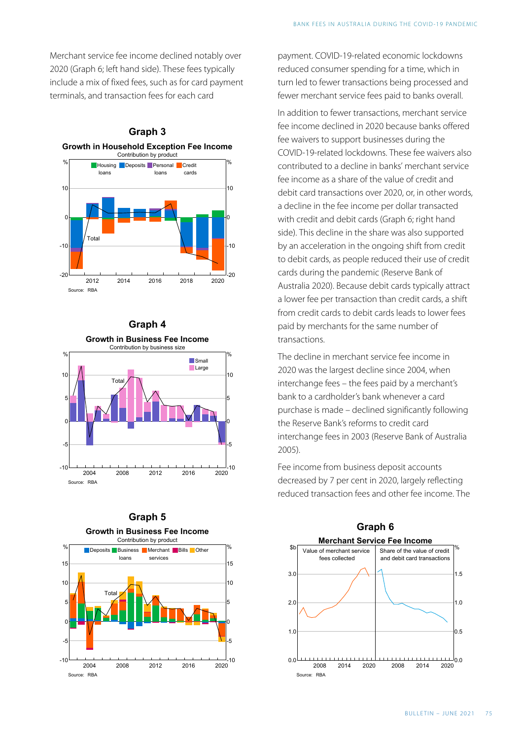Merchant service fee income declined notably over 2020 (Graph 6; left hand side). These fees typically include a mix of fixed fees, such as for card payment terminals, and transaction fees for each card



#### **Graph 4**



### **Graph 5 Growth in Business Fee Income**



payment. COVID-19 -related economic lockdowns reduced consumer spending for a time, which in turn led to fewer transactions being processed and fewer merchant service fees paid to banks overall.

In addition to fewer transactions, merchant service fee income declined in 2020 because banks offered fee waivers to support businesses during the COVID-19 -related lockdowns. These fee waivers also contributed to a decline in banks' merchant service fee income as a share of the value of credit and debit card transactions over 2020, or, in other words, a decline in the fee income per dollar transacted with credit and debit cards (Graph 6; right hand side). This decline in the share was also supported by an acceleration in the ongoing shift from credit to debit cards, as people reduced their use of credit cards during the pandemic (Reserve Bank of Australia 2020). Because debit cards typically attract a lower fee per transaction than credit cards, a shift from credit cards to debit cards leads to lower fees paid by merchants for the same number of transactions.

The decline in merchant service fee income in 2020 was the largest decline since 2004, when interchange fees – the fees paid by a merchant's bank to a cardholder's bank whenever a card purchase is made – declined significantly following the Reserve Bank's reforms to credit card interchange fees in 2003 (Reserve Bank of Australia 2005).

reduced transaction fees and other fee income. The



Fee income from business deposit accounts decreased by 7 per cent in 2020, largely reflecting